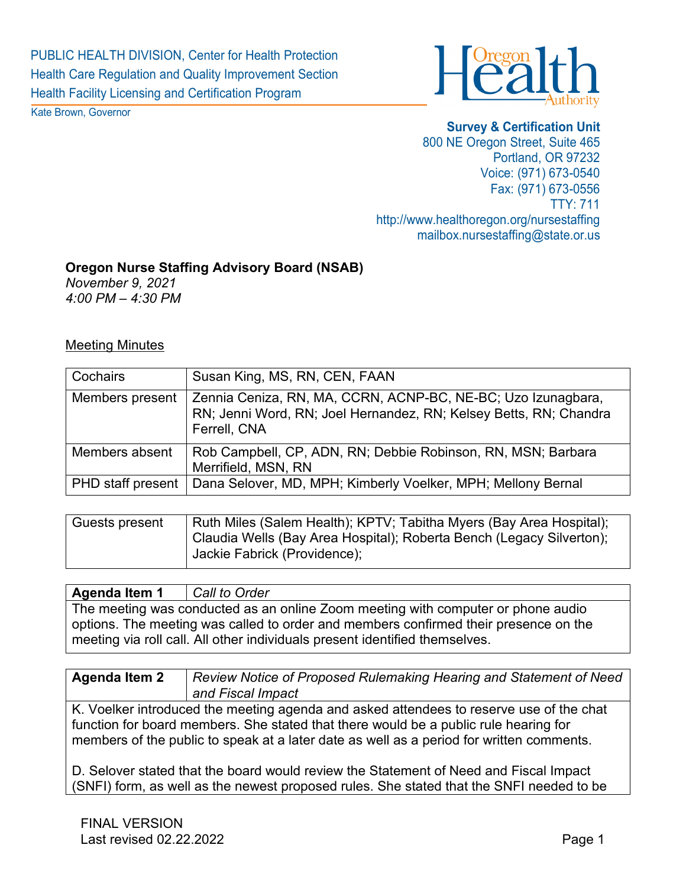

Kate Brown, Governor

**Survey & Certification Unit** 800 NE Oregon Street, Suite 465 Portland, OR 97232 Voice: (971) 673-0540 Fax: (971) 673-0556 TTY: 711 http://www.healthoregon.org/nursestaffing mailbox.nursestaffing@state.or.us

## **Oregon Nurse Staffing Advisory Board (NSAB)**

*November 9, 2021 4:00 PM – 4:30 PM* 

## Meeting Minutes

| Cochairs                 | Susan King, MS, RN, CEN, FAAN                                                                                                                     |
|--------------------------|---------------------------------------------------------------------------------------------------------------------------------------------------|
| Members present          | Zennia Ceniza, RN, MA, CCRN, ACNP-BC, NE-BC; Uzo Izunagbara,<br>RN; Jenni Word, RN; Joel Hernandez, RN; Kelsey Betts, RN; Chandra<br>Ferrell, CNA |
| Members absent           | Rob Campbell, CP, ADN, RN; Debbie Robinson, RN, MSN; Barbara<br>Merrifield, MSN, RN                                                               |
| <b>PHD</b> staff present | Dana Selover, MD, MPH; Kimberly Voelker, MPH; Mellony Bernal                                                                                      |

| Ruth Miles (Salem Health); KPTV; Tabitha Myers (Bay Area Hospital);  |
|----------------------------------------------------------------------|
| Claudia Wells (Bay Area Hospital); Roberta Bench (Legacy Silverton); |
| Jackie Fabrick (Providence);                                         |
|                                                                      |

## **Agenda Item 1** *Call to Order*

The meeting was conducted as an online Zoom meeting with computer or phone audio options. The meeting was called to order and members confirmed their presence on the meeting via roll call. All other individuals present identified themselves.

**Agenda Item 2** *Review Notice of Proposed Rulemaking Hearing and Statement of Need and Fiscal Impact*

K. Voelker introduced the meeting agenda and asked attendees to reserve use of the chat function for board members. She stated that there would be a public rule hearing for members of the public to speak at a later date as well as a period for written comments.

D. Selover stated that the board would review the Statement of Need and Fiscal Impact (SNFI) form, as well as the newest proposed rules. She stated that the SNFI needed to be

FINAL VERSION Last revised 02.22.2022 **Page 1**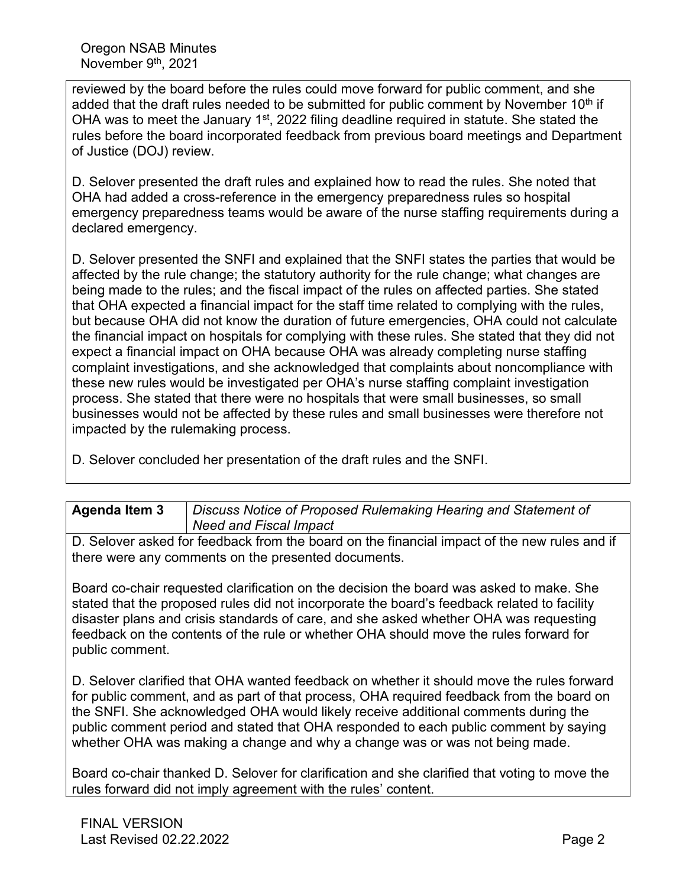reviewed by the board before the rules could move forward for public comment, and she added that the draft rules needed to be submitted for public comment by November 10<sup>th</sup> if OHA was to meet the January 1<sup>st</sup>, 2022 filing deadline required in statute. She stated the rules before the board incorporated feedback from previous board meetings and Department of Justice (DOJ) review.

D. Selover presented the draft rules and explained how to read the rules. She noted that OHA had added a cross-reference in the emergency preparedness rules so hospital emergency preparedness teams would be aware of the nurse staffing requirements during a declared emergency.

D. Selover presented the SNFI and explained that the SNFI states the parties that would be affected by the rule change; the statutory authority for the rule change; what changes are being made to the rules; and the fiscal impact of the rules on affected parties. She stated that OHA expected a financial impact for the staff time related to complying with the rules, but because OHA did not know the duration of future emergencies, OHA could not calculate the financial impact on hospitals for complying with these rules. She stated that they did not expect a financial impact on OHA because OHA was already completing nurse staffing complaint investigations, and she acknowledged that complaints about noncompliance with these new rules would be investigated per OHA's nurse staffing complaint investigation process. She stated that there were no hospitals that were small businesses, so small businesses would not be affected by these rules and small businesses were therefore not impacted by the rulemaking process.

D. Selover concluded her presentation of the draft rules and the SNFI.

| <b>Agenda Item 3</b> | Discuss Notice of Proposed Rulemaking Hearing and Statement of |
|----------------------|----------------------------------------------------------------|
|                      | <b>Need and Fiscal Impact</b>                                  |

D. Selover asked for feedback from the board on the financial impact of the new rules and if there were any comments on the presented documents.

Board co-chair requested clarification on the decision the board was asked to make. She stated that the proposed rules did not incorporate the board's feedback related to facility disaster plans and crisis standards of care, and she asked whether OHA was requesting feedback on the contents of the rule or whether OHA should move the rules forward for public comment.

D. Selover clarified that OHA wanted feedback on whether it should move the rules forward for public comment, and as part of that process, OHA required feedback from the board on the SNFI. She acknowledged OHA would likely receive additional comments during the public comment period and stated that OHA responded to each public comment by saying whether OHA was making a change and why a change was or was not being made.

Board co-chair thanked D. Selover for clarification and she clarified that voting to move the rules forward did not imply agreement with the rules' content.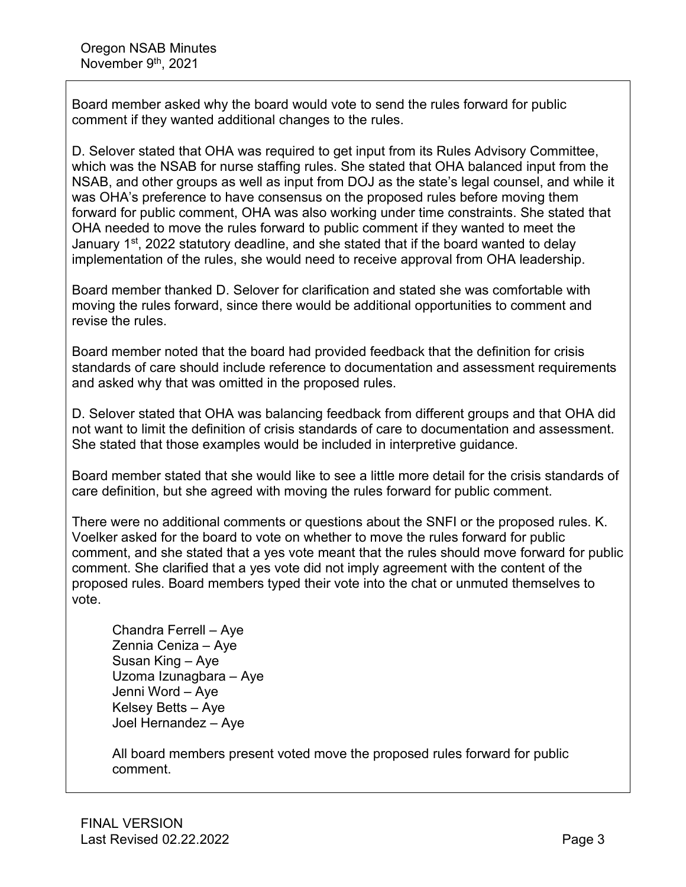Board member asked why the board would vote to send the rules forward for public comment if they wanted additional changes to the rules.

D. Selover stated that OHA was required to get input from its Rules Advisory Committee, which was the NSAB for nurse staffing rules. She stated that OHA balanced input from the NSAB, and other groups as well as input from DOJ as the state's legal counsel, and while it was OHA's preference to have consensus on the proposed rules before moving them forward for public comment, OHA was also working under time constraints. She stated that OHA needed to move the rules forward to public comment if they wanted to meet the January 1<sup>st</sup>, 2022 statutory deadline, and she stated that if the board wanted to delay implementation of the rules, she would need to receive approval from OHA leadership.

Board member thanked D. Selover for clarification and stated she was comfortable with moving the rules forward, since there would be additional opportunities to comment and revise the rules.

Board member noted that the board had provided feedback that the definition for crisis standards of care should include reference to documentation and assessment requirements and asked why that was omitted in the proposed rules.

D. Selover stated that OHA was balancing feedback from different groups and that OHA did not want to limit the definition of crisis standards of care to documentation and assessment. She stated that those examples would be included in interpretive guidance.

Board member stated that she would like to see a little more detail for the crisis standards of care definition, but she agreed with moving the rules forward for public comment.

There were no additional comments or questions about the SNFI or the proposed rules. K. Voelker asked for the board to vote on whether to move the rules forward for public comment, and she stated that a yes vote meant that the rules should move forward for public comment. She clarified that a yes vote did not imply agreement with the content of the proposed rules. Board members typed their vote into the chat or unmuted themselves to vote.

Chandra Ferrell – Aye Zennia Ceniza – Aye Susan King – Aye Uzoma Izunagbara – Aye Jenni Word – Aye Kelsey Betts – Aye Joel Hernandez – Aye

All board members present voted move the proposed rules forward for public comment.